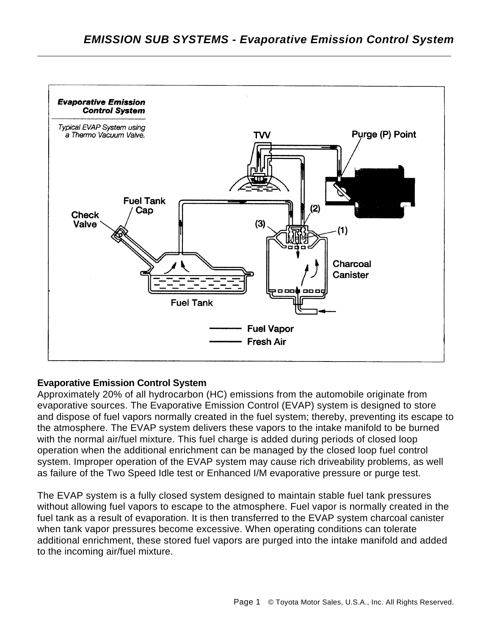

## **Evaporative Emission Control System**

Approximately 20% of all hydrocarbon (HC) emissions from the automobile originate from evaporative sources. The Evaporative Emission Control (EVAP) system is designed to store and dispose of fuel vapors normally created in the fuel system; thereby, preventing its escape to the atmosphere. The EVAP system delivers these vapors to the intake manifold to be burned with the normal air/fuel mixture. This fuel charge is added during periods of closed loop operation when the additional enrichment can be managed by the closed loop fuel control system. Improper operation of the EVAP system may cause rich driveability problems, as well as failure of the Two Speed Idle test or Enhanced I/M evaporative pressure or purge test.

The EVAP system is a fully closed system designed to maintain stable fuel tank pressures without allowing fuel vapors to escape to the atmosphere. Fuel vapor is normally created in the fuel tank as a result of evaporation. It is then transferred to the EVAP system charcoal canister when tank vapor pressures become excessive. When operating conditions can tolerate additional enrichment, these stored fuel vapors are purged into the intake manifold and added to the incoming air/fuel mixture.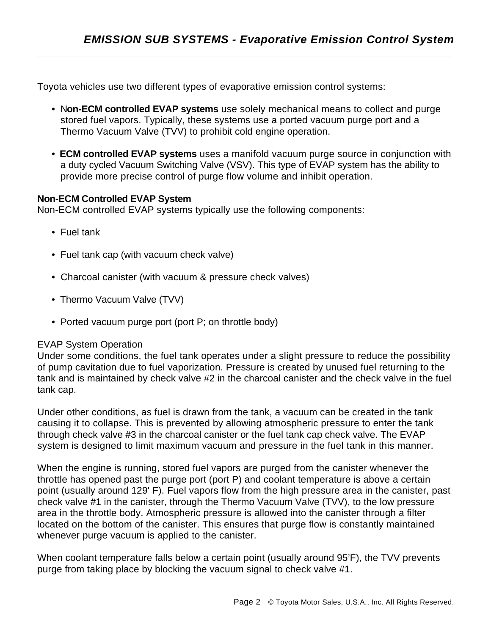Toyota vehicles use two different types of evaporative emission control systems:

- N**on-ECM controlled EVAP systems** use solely mechanical means to collect and purge stored fuel vapors. Typically, these systems use a ported vacuum purge port and a Thermo Vacuum Valve (TVV) to prohibit cold engine operation.
- **ECM controlled EVAP systems** uses a manifold vacuum purge source in conjunction with a duty cycled Vacuum Switching Valve (VSV). This type of EVAP system has the ability to provide more precise control of purge flow volume and inhibit operation.

#### **Non-ECM Controlled EVAP System**

Non-ECM controlled EVAP systems typically use the following components:

• Fuel tank

- Fuel tank cap (with vacuum check valve)
- Charcoal canister (with vacuum & pressure check valves)
- Thermo Vacuum Valve (TVV)
- Ported vacuum purge port (port P; on throttle body)

## EVAP System Operation

Under some conditions, the fuel tank operates under a slight pressure to reduce the possibility of pump cavitation due to fuel vaporization. Pressure is created by unused fuel returning to the tank and is maintained by check valve #2 in the charcoal canister and the check valve in the fuel tank cap.

Under other conditions, as fuel is drawn from the tank, a vacuum can be created in the tank causing it to collapse. This is prevented by allowing atmospheric pressure to enter the tank through check valve #3 in the charcoal canister or the fuel tank cap check valve. The EVAP system is designed to limit maximum vacuum and pressure in the fuel tank in this manner.

When the engine is running, stored fuel vapors are purged from the canister whenever the throttle has opened past the purge port (port P) and coolant temperature is above a certain point (usually around 129' F). Fuel vapors flow from the high pressure area in the canister, past check valve #1 in the canister, through the Thermo Vacuum Valve (TVV), to the low pressure area in the throttle body. Atmospheric pressure is allowed into the canister through a filter located on the bottom of the canister. This ensures that purge flow is constantly maintained whenever purge vacuum is applied to the canister.

When coolant temperature falls below a certain point (usually around 95'F), the TVV prevents purge from taking place by blocking the vacuum signal to check valve #1.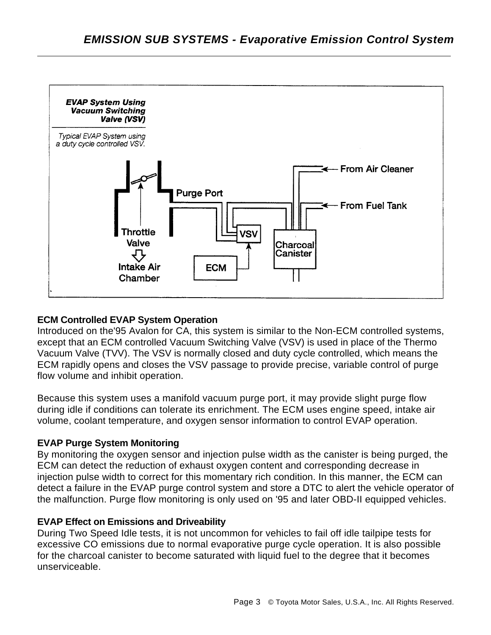

## **ECM Controlled EVAP System Operation**

Introduced on the'95 Avalon for CA, this system is similar to the Non-ECM controlled systems, except that an ECM controlled Vacuum Switching Valve (VSV) is used in place of the Thermo Vacuum Valve (TVV). The VSV is normally closed and duty cycle controlled, which means the ECM rapidly opens and closes the VSV passage to provide precise, variable control of purge flow volume and inhibit operation.

Because this system uses a manifold vacuum purge port, it may provide slight purge flow during idle if conditions can tolerate its enrichment. The ECM uses engine speed, intake air volume, coolant temperature, and oxygen sensor information to control EVAP operation.

## **EVAP Purge System Monitoring**

By monitoring the oxygen sensor and injection pulse width as the canister is being purged, the ECM can detect the reduction of exhaust oxygen content and corresponding decrease in injection pulse width to correct for this momentary rich condition. In this manner, the ECM can detect a failure in the EVAP purge control system and store a DTC to alert the vehicle operator of the malfunction. Purge flow monitoring is only used on '95 and later OBD-II equipped vehicles.

# **EVAP Effect on Emissions and Driveability**

During Two Speed Idle tests, it is not uncommon for vehicles to fail off idle tailpipe tests for excessive CO emissions due to normal evaporative purge cycle operation. It is also possible for the charcoal canister to become saturated with liquid fuel to the degree that it becomes unserviceable.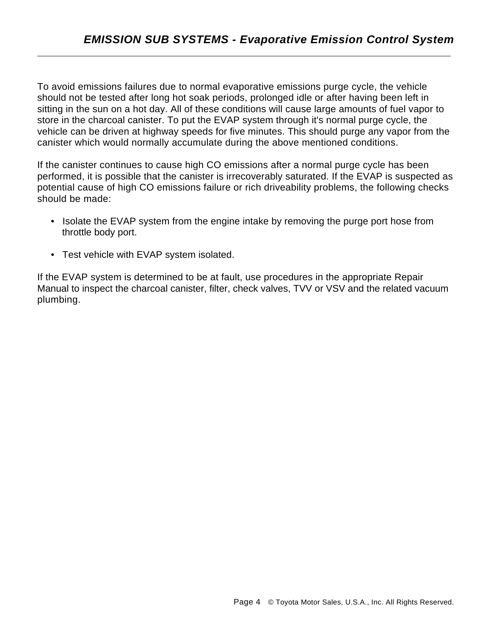To avoid emissions failures due to normal evaporative emissions purge cycle, the vehicle should not be tested after long hot soak periods, prolonged idle or after having been left in sitting in the sun on a hot day. All of these conditions will cause large amounts of fuel vapor to store in the charcoal canister. To put the EVAP system through it's normal purge cycle, the vehicle can be driven at highway speeds for five minutes. This should purge any vapor from the canister which would normally accumulate during the above mentioned conditions.

If the canister continues to cause high CO emissions after a normal purge cycle has been performed, it is possible that the canister is irrecoverably saturated. If the EVAP is suspected as potential cause of high CO emissions failure or rich driveability problems, the following checks should be made:

- Isolate the EVAP system from the engine intake by removing the purge port hose from throttle body port.
- Test vehicle with EVAP system isolated.

If the EVAP system is determined to be at fault, use procedures in the appropriate Repair Manual to inspect the charcoal canister, filter, check valves, TVV or VSV and the related vacuum plumbing.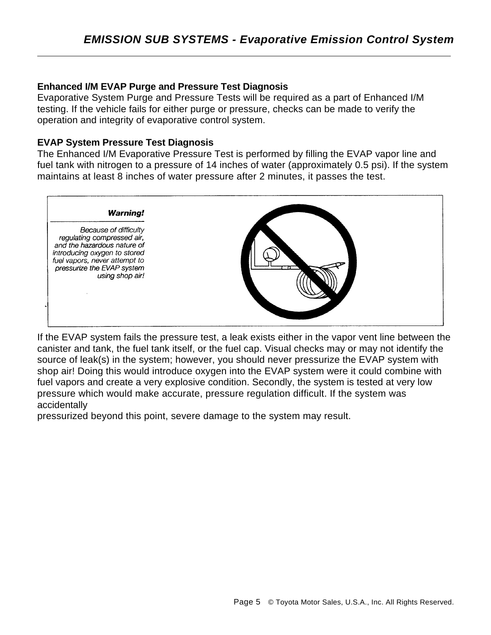#### **Enhanced I/M EVAP Purge and Pressure Test Diagnosis**

Evaporative System Purge and Pressure Tests will be required as a part of Enhanced I/M testing. If the vehicle fails for either purge or pressure, checks can be made to verify the operation and integrity of evaporative control system.

#### **EVAP System Pressure Test Diagnosis**

The Enhanced I/M Evaporative Pressure Test is performed by filling the EVAP vapor line and fuel tank with nitrogen to a pressure of 14 inches of water (approximately 0.5 psi). If the system maintains at least 8 inches of water pressure after 2 minutes, it passes the test.



If the EVAP system fails the pressure test, a leak exists either in the vapor vent line between the canister and tank, the fuel tank itself, or the fuel cap. Visual checks may or may not identify the source of leak(s) in the system; however, you should never pressurize the EVAP system with shop air! Doing this would introduce oxygen into the EVAP system were it could combine with fuel vapors and create a very explosive condition. Secondly, the system is tested at very low pressure which would make accurate, pressure regulation difficult. If the system was accidentally

pressurized beyond this point, severe damage to the system may result.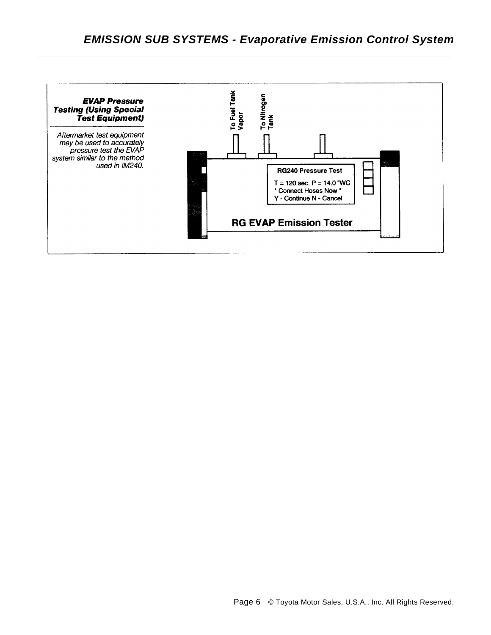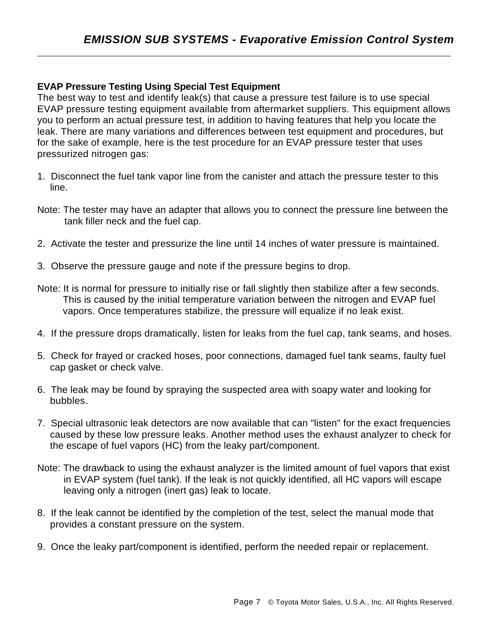## **EVAP Pressure Testing Using Special Test Equipment**

The best way to test and identify leak(s) that cause a pressure test failure is to use special EVAP pressure testing equipment available from aftermarket suppliers. This equipment allows you to perform an actual pressure test, in addition to having features that help you locate the leak. There are many variations and differences between test equipment and procedures, but for the sake of example, here is the test procedure for an EVAP pressure tester that uses pressurized nitrogen gas:

- 1. Disconnect the fuel tank vapor line from the canister and attach the pressure tester to this line.
- Note: The tester may have an adapter that allows you to connect the pressure line between the tank filler neck and the fuel cap.
- 2. Activate the tester and pressurize the line until 14 inches of water pressure is maintained.
- 3. Observe the pressure gauge and note if the pressure begins to drop.
- Note: It is normal for pressure to initially rise or fall slightly then stabilize after a few seconds. This is caused by the initial temperature variation between the nitrogen and EVAP fuel vapors. Once temperatures stabilize, the pressure will equalize if no leak exist.
- 4. If the pressure drops dramatically, listen for leaks from the fuel cap, tank seams, and hoses.
- 5. Check for frayed or cracked hoses, poor connections, damaged fuel tank seams, faulty fuel cap gasket or check valve.
- 6. The leak may be found by spraying the suspected area with soapy water and looking for bubbles.
- 7. Special ultrasonic leak detectors are now available that can "listen" for the exact frequencies caused by these low pressure leaks. Another method uses the exhaust analyzer to check for the escape of fuel vapors (HC) from the leaky part/component.
- Note: The drawback to using the exhaust analyzer is the limited amount of fuel vapors that exist in EVAP system (fuel tank). If the leak is not quickly identified, all HC vapors will escape leaving only a nitrogen (inert gas) leak to locate.
- 8. If the leak cannot be identified by the completion of the test, select the manual mode that provides a constant pressure on the system.
- 9. Once the leaky part/component is identified, perform the needed repair or replacement.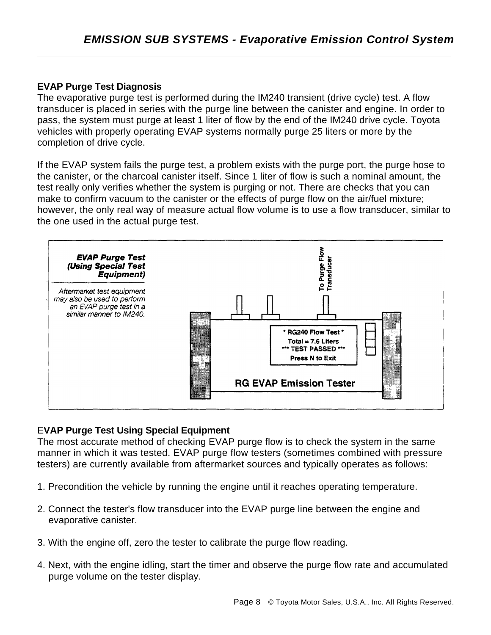## **EVAP Purge Test Diagnosis**

The evaporative purge test is performed during the IM240 transient (drive cycle) test. A flow transducer is placed in series with the purge line between the canister and engine. In order to pass, the system must purge at least 1 liter of flow by the end of the IM240 drive cycle. Toyota vehicles with properly operating EVAP systems normally purge 25 liters or more by the completion of drive cycle.

If the EVAP system fails the purge test, a problem exists with the purge port, the purge hose to the canister, or the charcoal canister itself. Since 1 liter of flow is such a nominal amount, the test really only verifies whether the system is purging or not. There are checks that you can make to confirm vacuum to the canister or the effects of purge flow on the air/fuel mixture; however, the only real way of measure actual flow volume is to use a flow transducer, similar to the one used in the actual purge test.



## E**VAP Purge Test Using Special Equipment**

The most accurate method of checking EVAP purge flow is to check the system in the same manner in which it was tested. EVAP purge flow testers (sometimes combined with pressure testers) are currently available from aftermarket sources and typically operates as follows:

- 1. Precondition the vehicle by running the engine until it reaches operating temperature.
- 2. Connect the tester's flow transducer into the EVAP purge line between the engine and evaporative canister.
- 3. With the engine off, zero the tester to calibrate the purge flow reading.
- 4. Next, with the engine idling, start the timer and observe the purge flow rate and accumulated purge volume on the tester display.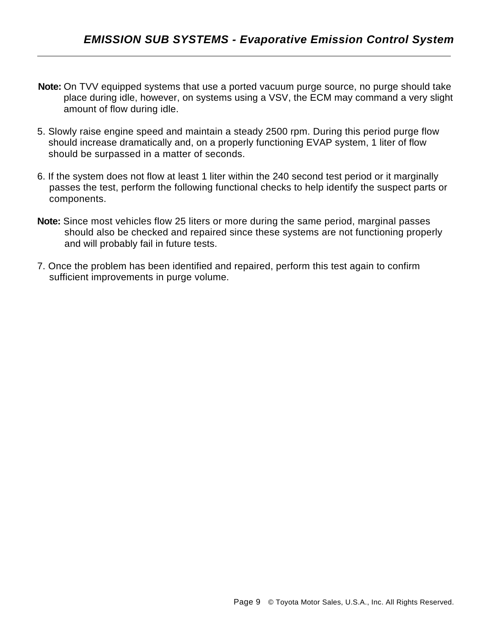**Note:** On TVV equipped systems that use a ported vacuum purge source, no purge should take place during idle, however, on systems using a VSV, the ECM may command a very slight amount of flow during idle.

- 5. Slowly raise engine speed and maintain a steady 2500 rpm. During this period purge flow should increase dramatically and, on a properly functioning EVAP system, 1 liter of flow should be surpassed in a matter of seconds.
- 6. If the system does not flow at least 1 liter within the 240 second test period or it marginally passes the test, perform the following functional checks to help identify the suspect parts or components.
- **Note:** Since most vehicles flow 25 liters or more during the same period, marginal passes should also be checked and repaired since these systems are not functioning properly and will probably fail in future tests.
- 7. Once the problem has been identified and repaired, perform this test again to confirm sufficient improvements in purge volume.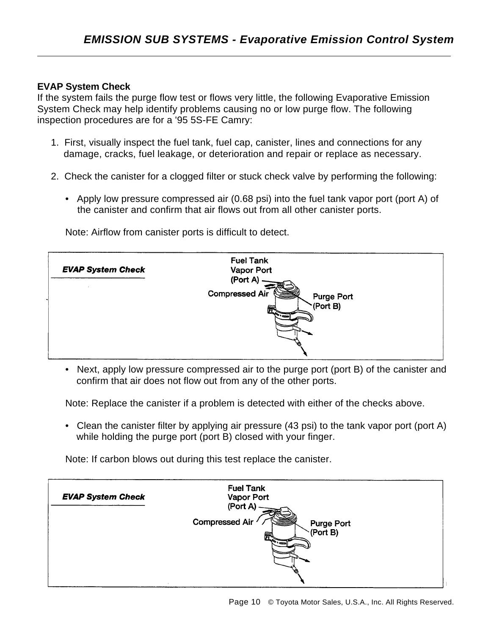## **EVAP System Check**

If the system fails the purge flow test or flows very little, the following Evaporative Emission System Check may help identify problems causing no or low purge flow. The following inspection procedures are for a '95 5S-FE Camry:

- 1. First, visually inspect the fuel tank, fuel cap, canister, lines and connections for any damage, cracks, fuel leakage, or deterioration and repair or replace as necessary.
- 2. Check the canister for a clogged filter or stuck check valve by performing the following:
	- Apply low pressure compressed air (0.68 psi) into the fuel tank vapor port (port A) of the canister and confirm that air flows out from all other canister ports.



Note: Airflow from canister ports is difficult to detect.

• Next, apply low pressure compressed air to the purge port (port B) of the canister and confirm that air does not flow out from any of the other ports.

Note: Replace the canister if a problem is detected with either of the checks above.

• Clean the canister filter by applying air pressure (43 psi) to the tank vapor port (port A) while holding the purge port (port B) closed with your finger.

Note: If carbon blows out during this test replace the canister.